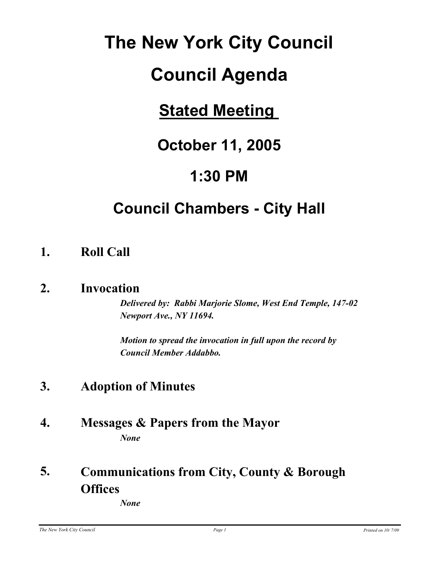# **The New York City Council**

# **Council Agenda**

# **Stated Meeting**

## **October 11, 2005**

## **1:30 PM**

# **Council Chambers - City Hall**

## **1. Roll Call**

### **2. Invocation**

*Delivered by: Rabbi Marjorie Slome, West End Temple, 147-02 Newport Ave., NY 11694.* 

*Motion to spread the invocation in full upon the record by Council Member Addabbo.*

## **3. Adoption of Minutes**

**4. Messages & Papers from the Mayor** *None*

#### **Communications from City, County & Borough Offices 5.**

*None*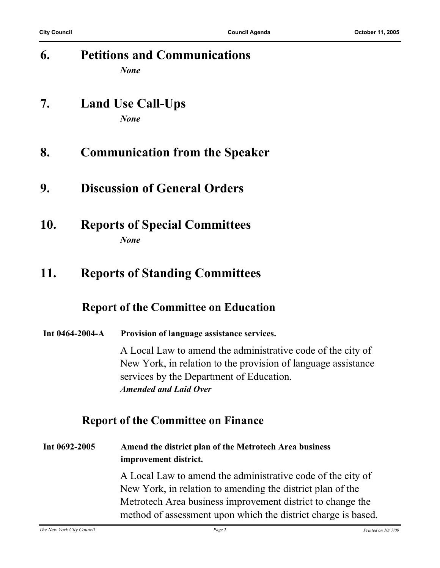| 6.              | <b>Petitions and Communications</b><br><b>None</b>                                                                                                                                                       |
|-----------------|----------------------------------------------------------------------------------------------------------------------------------------------------------------------------------------------------------|
| 7.              | <b>Land Use Call-Ups</b><br><b>None</b>                                                                                                                                                                  |
| 8.              | <b>Communication from the Speaker</b>                                                                                                                                                                    |
| 9.              | <b>Discussion of General Orders</b>                                                                                                                                                                      |
| 10.             | <b>Reports of Special Committees</b><br><b>None</b>                                                                                                                                                      |
| 11.             | <b>Reports of Standing Committees</b>                                                                                                                                                                    |
|                 | <b>Report of the Committee on Education</b>                                                                                                                                                              |
| Int 0464-2004-A | Provision of language assistance services.                                                                                                                                                               |
|                 | A Local Law to amend the administrative code of the city of<br>New York, in relation to the provision of language assistance<br>services by the Department of Education.<br><b>Amended and Laid Over</b> |

### **Report of the Committee on Finance**

**Int 0692-2005 Amend the district plan of the Metrotech Area business improvement district.**

A Local Law to amend the administrative code of the city of New York, in relation to amending the district plan of the Metrotech Area business improvement district to change the method of assessment upon which the district charge is based.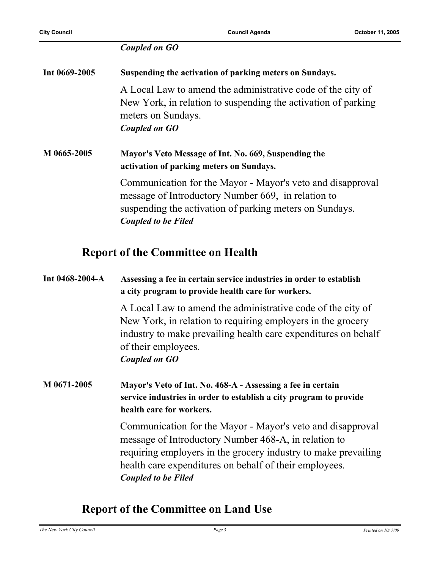#### *Coupled on GO*

| Int 0669-2005 | Suspending the activation of parking meters on Sundays.                                                                                                                                                   |  |
|---------------|-----------------------------------------------------------------------------------------------------------------------------------------------------------------------------------------------------------|--|
|               | A Local Law to amend the administrative code of the city of<br>New York, in relation to suspending the activation of parking<br>meters on Sundays.<br>Coupled on GO                                       |  |
| M 0665-2005   | Mayor's Veto Message of Int. No. 669, Suspending the<br>activation of parking meters on Sundays.                                                                                                          |  |
|               | Communication for the Mayor - Mayor's veto and disapproval<br>message of Introductory Number 669, in relation to<br>suspending the activation of parking meters on Sundays.<br><b>Coupled to be Filed</b> |  |

#### **Report of the Committee on Health**

#### **Int 0468-2004-A Assessing a fee in certain service industries in order to establish a city program to provide health care for workers.**

A Local Law to amend the administrative code of the city of New York, in relation to requiring employers in the grocery industry to make prevailing health care expenditures on behalf of their employees. *Coupled on GO*

**M 0671-2005 Mayor's Veto of Int. No. 468-A - Assessing a fee in certain service industries in order to establish a city program to provide health care for workers.**

> Communication for the Mayor - Mayor's veto and disapproval message of Introductory Number 468-A, in relation to requiring employers in the grocery industry to make prevailing health care expenditures on behalf of their employees. *Coupled to be Filed*

#### **Report of the Committee on Land Use**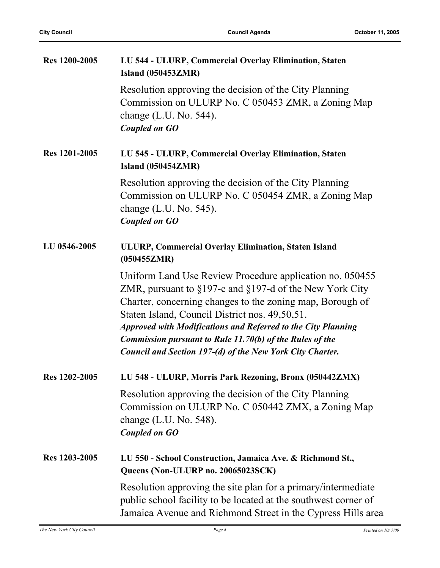| Res 1200-2005 | LU 544 - ULURP, Commercial Overlay Elimination, Staten<br><b>Island (050453ZMR)</b>                                                                                                                                                                                                                                                                                                                                                                |  |  |
|---------------|----------------------------------------------------------------------------------------------------------------------------------------------------------------------------------------------------------------------------------------------------------------------------------------------------------------------------------------------------------------------------------------------------------------------------------------------------|--|--|
|               | Resolution approving the decision of the City Planning<br>Commission on ULURP No. C 050453 ZMR, a Zoning Map<br>change $(L.U. No. 544)$ .<br><b>Coupled on GO</b>                                                                                                                                                                                                                                                                                  |  |  |
| Res 1201-2005 | LU 545 - ULURP, Commercial Overlay Elimination, Staten<br><b>Island (050454ZMR)</b>                                                                                                                                                                                                                                                                                                                                                                |  |  |
|               | Resolution approving the decision of the City Planning<br>Commission on ULURP No. C 050454 ZMR, a Zoning Map<br>change $(L.U. No. 545)$ .<br><b>Coupled on GO</b>                                                                                                                                                                                                                                                                                  |  |  |
| LU 0546-2005  | ULURP, Commercial Overlay Elimination, Staten Island<br>(050455ZMR)                                                                                                                                                                                                                                                                                                                                                                                |  |  |
|               | Uniform Land Use Review Procedure application no. 050455<br>ZMR, pursuant to $\S197$ -c and $\S197$ -d of the New York City<br>Charter, concerning changes to the zoning map, Borough of<br>Staten Island, Council District nos. 49,50,51.<br><b>Approved with Modifications and Referred to the City Planning</b><br><b>Commission pursuant to Rule 11.70(b) of the Rules of the</b><br>Council and Section 197-(d) of the New York City Charter. |  |  |
| Res 1202-2005 | LU 548 - ULURP, Morris Park Rezoning, Bronx (050442ZMX)                                                                                                                                                                                                                                                                                                                                                                                            |  |  |
|               | Resolution approving the decision of the City Planning<br>Commission on ULURP No. C 050442 ZMX, a Zoning Map<br>change $(L.U. No. 548)$ .<br><b>Coupled on GO</b>                                                                                                                                                                                                                                                                                  |  |  |
| Res 1203-2005 | LU 550 - School Construction, Jamaica Ave. & Richmond St.,<br>Queens (Non-ULURP no. 20065023SCK)                                                                                                                                                                                                                                                                                                                                                   |  |  |
|               | Resolution approving the site plan for a primary/intermediate<br>public school facility to be located at the southwest corner of<br>Jamaica Avenue and Richmond Street in the Cypress Hills area                                                                                                                                                                                                                                                   |  |  |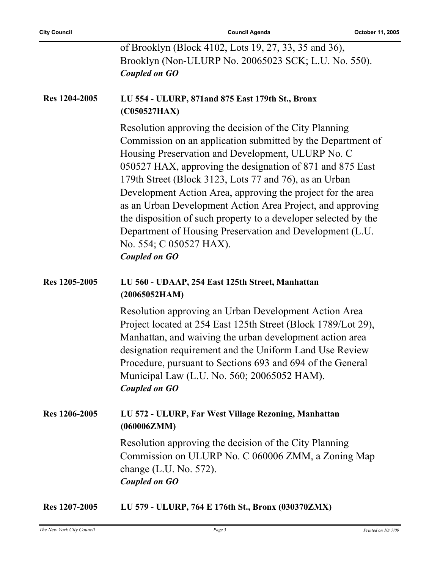|               | of Brooklyn (Block 4102, Lots 19, 27, 33, 35 and 36),<br>Brooklyn (Non-ULURP No. 20065023 SCK; L.U. No. 550).<br><b>Coupled on GO</b>                                                                                                                                                                                                                                                                                                                                                                                                                                                                            |
|---------------|------------------------------------------------------------------------------------------------------------------------------------------------------------------------------------------------------------------------------------------------------------------------------------------------------------------------------------------------------------------------------------------------------------------------------------------------------------------------------------------------------------------------------------------------------------------------------------------------------------------|
| Res 1204-2005 | LU 554 - ULURP, 871 and 875 East 179th St., Bronx<br>(C050527HAX)                                                                                                                                                                                                                                                                                                                                                                                                                                                                                                                                                |
|               | Resolution approving the decision of the City Planning<br>Commission on an application submitted by the Department of<br>Housing Preservation and Development, ULURP No. C<br>050527 HAX, approving the designation of 871 and 875 East<br>179th Street (Block 3123, Lots 77 and 76), as an Urban<br>Development Action Area, approving the project for the area<br>as an Urban Development Action Area Project, and approving<br>the disposition of such property to a developer selected by the<br>Department of Housing Preservation and Development (L.U.<br>No. 554; C 050527 HAX).<br><b>Coupled on GO</b> |
| Res 1205-2005 | LU 560 - UDAAP, 254 East 125th Street, Manhattan<br>(20065052HAM)                                                                                                                                                                                                                                                                                                                                                                                                                                                                                                                                                |
|               | Resolution approving an Urban Development Action Area<br>Project located at 254 East 125th Street (Block 1789/Lot 29),<br>Manhattan, and waiving the urban development action area<br>designation requirement and the Uniform Land Use Review<br>Procedure, pursuant to Sections 693 and 694 of the General<br>Municipal Law (L.U. No. 560; 20065052 HAM).<br><b>Coupled on GO</b>                                                                                                                                                                                                                               |
| Res 1206-2005 | LU 572 - ULURP, Far West Village Rezoning, Manhattan<br>(060006ZMM)                                                                                                                                                                                                                                                                                                                                                                                                                                                                                                                                              |
|               | Resolution approving the decision of the City Planning<br>Commission on ULURP No. C 060006 ZMM, a Zoning Map<br>change $(L.U. No. 572)$ .<br><b>Coupled on GO</b>                                                                                                                                                                                                                                                                                                                                                                                                                                                |
|               |                                                                                                                                                                                                                                                                                                                                                                                                                                                                                                                                                                                                                  |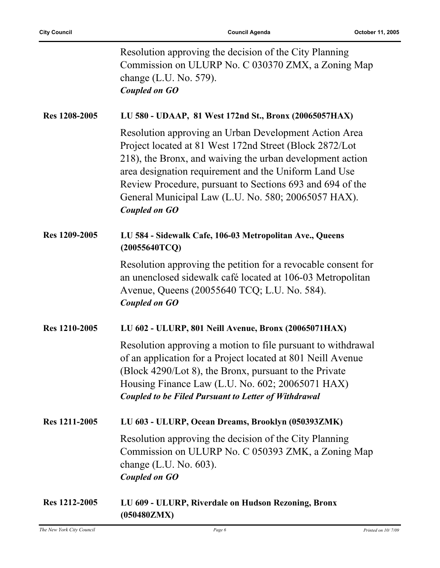|                      | Resolution approving the decision of the City Planning<br>Commission on ULURP No. C 030370 ZMX, a Zoning Map<br>change (L.U. No. 579).<br><b>Coupled on GO</b>                                                                                                                                                                                                                     |
|----------------------|------------------------------------------------------------------------------------------------------------------------------------------------------------------------------------------------------------------------------------------------------------------------------------------------------------------------------------------------------------------------------------|
| Res 1208-2005        | LU 580 - UDAAP, 81 West 172nd St., Bronx (20065057HAX)                                                                                                                                                                                                                                                                                                                             |
|                      | Resolution approving an Urban Development Action Area<br>Project located at 81 West 172nd Street (Block 2872/Lot<br>218), the Bronx, and waiving the urban development action<br>area designation requirement and the Uniform Land Use<br>Review Procedure, pursuant to Sections 693 and 694 of the<br>General Municipal Law (L.U. No. 580; 20065057 HAX).<br><b>Coupled on GO</b> |
| Res 1209-2005        | LU 584 - Sidewalk Cafe, 106-03 Metropolitan Ave., Queens<br>(20055640TCQ)                                                                                                                                                                                                                                                                                                          |
|                      | Resolution approving the petition for a revocable consent for<br>an unenclosed sidewalk café located at 106-03 Metropolitan<br>Avenue, Queens (20055640 TCQ; L.U. No. 584).<br><b>Coupled on GO</b>                                                                                                                                                                                |
| Res 1210-2005        | LU 602 - ULURP, 801 Neill Avenue, Bronx (20065071HAX)                                                                                                                                                                                                                                                                                                                              |
|                      | Resolution approving a motion to file pursuant to withdrawal<br>of an application for a Project located at 801 Neill Avenue<br>(Block 4290/Lot 8), the Bronx, pursuant to the Private<br>Housing Finance Law (L.U. No. 602; 20065071 HAX)<br><b>Coupled to be Filed Pursuant to Letter of Withdrawal</b>                                                                           |
| Res 1211-2005        | LU 603 - ULURP, Ocean Dreams, Brooklyn (050393ZMK)                                                                                                                                                                                                                                                                                                                                 |
|                      | Resolution approving the decision of the City Planning<br>Commission on ULURP No. C 050393 ZMK, a Zoning Map<br>change $(L.U. No. 603)$ .<br><b>Coupled on GO</b>                                                                                                                                                                                                                  |
| <b>Res 1212-2005</b> | LU 609 - ULURP, Riverdale on Hudson Rezoning, Bronx<br>(050480ZMX)                                                                                                                                                                                                                                                                                                                 |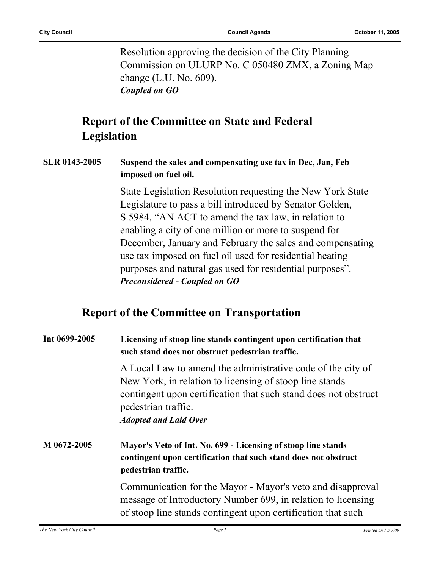Resolution approving the decision of the City Planning Commission on ULURP No. C 050480 ZMX, a Zoning Map change (L.U. No. 609). *Coupled on GO*

### **Report of the Committee on State and Federal Legislation**

#### **SLR 0143-2005 Suspend the sales and compensating use tax in Dec, Jan, Feb imposed on fuel oil.**

State Legislation Resolution requesting the New York State Legislature to pass a bill introduced by Senator Golden, S.5984, "AN ACT to amend the tax law, in relation to enabling a city of one million or more to suspend for December, January and February the sales and compensating use tax imposed on fuel oil used for residential heating purposes and natural gas used for residential purposes". *Preconsidered - Coupled on GO*

#### **Report of the Committee on Transportation**

| Int 0699-2005 | Licensing of stoop line stands contingent upon certification that<br>such stand does not obstruct pedestrian traffic.                                                                                                                            |  |  |
|---------------|--------------------------------------------------------------------------------------------------------------------------------------------------------------------------------------------------------------------------------------------------|--|--|
|               | A Local Law to amend the administrative code of the city of<br>New York, in relation to licensing of stoop line stands<br>contingent upon certification that such stand does not obstruct<br>pedestrian traffic.<br><b>Adopted and Laid Over</b> |  |  |
| M 0672-2005   | Mayor's Veto of Int. No. 699 - Licensing of stoop line stands<br>contingent upon certification that such stand does not obstruct<br>pedestrian traffic.                                                                                          |  |  |
|               | Communication for the Mayor - Mayor's veto and disapproval<br>message of Introductory Number 699, in relation to licensing<br>of stoop line stands contingent upon certification that such                                                       |  |  |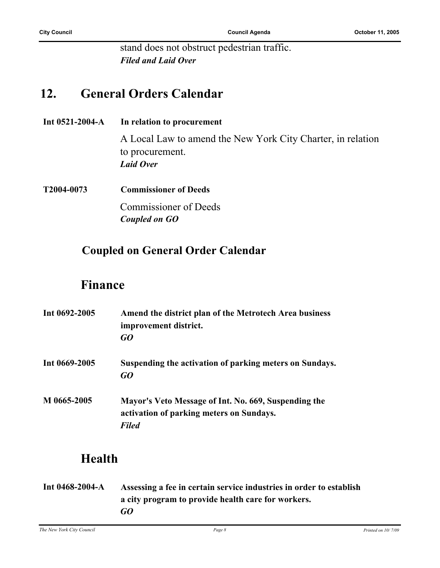stand does not obstruct pedestrian traffic. *Filed and Laid Over*

### **12. General Orders Calendar**

**Int 0521-2004-A In relation to procurement**

A Local Law to amend the New York City Charter, in relation to procurement. *Laid Over*

**T2004-0073 Commissioner of Deeds**

Commissioner of Deeds *Coupled on GO*

#### **Coupled on General Order Calendar**

#### **Finance**

| Int 0692-2005 | Amend the district plan of the Metrotech Area business<br>improvement district.<br>GO                            |
|---------------|------------------------------------------------------------------------------------------------------------------|
| Int 0669-2005 | Suspending the activation of parking meters on Sundays.<br>GO                                                    |
| M 0665-2005   | Mayor's Veto Message of Int. No. 669, Suspending the<br>activation of parking meters on Sundays.<br><b>Filed</b> |

## **Health**

**Int 0468-2004-A Assessing a fee in certain service industries in order to establish a city program to provide health care for workers.** *GO*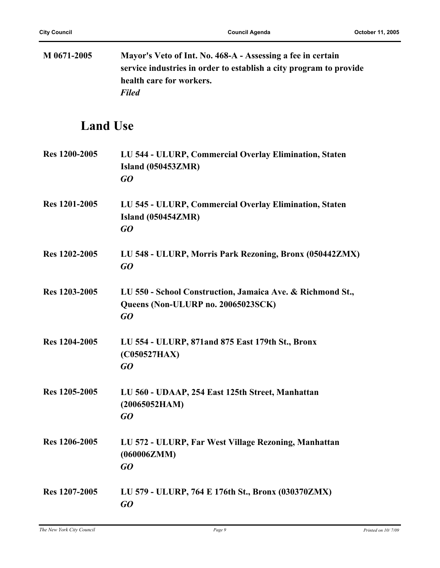| M 0671-2005     | Mayor's Veto of Int. No. 468-A - Assessing a fee in certain<br>service industries in order to establish a city program to provide<br>health care for workers.<br><b>Filed</b> |
|-----------------|-------------------------------------------------------------------------------------------------------------------------------------------------------------------------------|
| <b>Land Use</b> |                                                                                                                                                                               |
| Res 1200-2005   | LU 544 - ULURP, Commercial Overlay Elimination, Staten<br><b>Island (050453ZMR)</b><br>GO                                                                                     |
| Res 1201-2005   | LU 545 - ULURP, Commercial Overlay Elimination, Staten<br><b>Island (050454ZMR)</b><br>GQ                                                                                     |
| Res 1202-2005   | LU 548 - ULURP, Morris Park Rezoning, Bronx (050442ZMX)<br>GQ                                                                                                                 |
| Res 1203-2005   | LU 550 - School Construction, Jamaica Ave. & Richmond St.,<br>Queens (Non-ULURP no. 20065023SCK)<br>GO                                                                        |
| Res 1204-2005   | LU 554 - ULURP, 871 and 875 East 179th St., Bronx<br>(C050527HAX)<br>GO                                                                                                       |
| Res 1205-2005   | LU 560 - UDAAP, 254 East 125th Street, Manhattan<br>(20065052HAM)<br>GQ                                                                                                       |
| Res 1206-2005   | LU 572 - ULURP, Far West Village Rezoning, Manhattan<br>(060006ZMM)<br>GO                                                                                                     |
| Res 1207-2005   | LU 579 - ULURP, 764 E 176th St., Bronx (030370ZMX)<br>GO                                                                                                                      |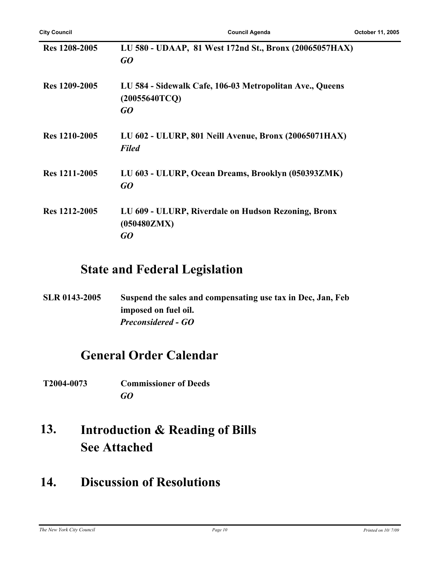| Res 1208-2005 | LU 580 - UDAAP, 81 West 172nd St., Bronx (20065057HAX)<br>GO                    |
|---------------|---------------------------------------------------------------------------------|
| Res 1209-2005 | LU 584 - Sidewalk Cafe, 106-03 Metropolitan Ave., Queens<br>(20055640TCQ)<br>GO |
| Res 1210-2005 | LU 602 - ULURP, 801 Neill Avenue, Bronx (20065071HAX)<br><b>Filed</b>           |
| Res 1211-2005 | LU 603 - ULURP, Ocean Dreams, Brooklyn (050393ZMK)<br>GO                        |
| Res 1212-2005 | LU 609 - ULURP, Riverdale on Hudson Rezoning, Bronx<br>(050480ZMX)<br>GO        |

### **State and Federal Legislation**

**SLR 0143-2005 Suspend the sales and compensating use tax in Dec, Jan, Feb imposed on fuel oil.** *Preconsidered - GO*

### **General Order Calendar**

**T2004-0073 Commissioner of Deeds** *GO*

#### **Introduction & Reading of Bills See Attached 13.**

## **14. Discussion of Resolutions**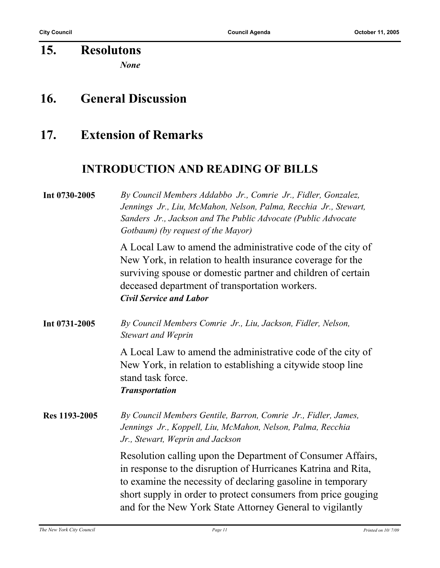#### **15. Resolutons** *None*

#### **16. General Discussion**

#### **17. Extension of Remarks**

#### **INTRODUCTION AND READING OF BILLS**

### **Int 0730-2005** *By Council Members Addabbo Jr., Comrie Jr., Fidler, Gonzalez, Jennings Jr., Liu, McMahon, Nelson, Palma, Recchia Jr., Stewart, Sanders Jr., Jackson and The Public Advocate (Public Advocate Gotbaum) (by request of the Mayor)* A Local Law to amend the administrative code of the city of New York, in relation to health insurance coverage for the surviving spouse or domestic partner and children of certain deceased department of transportation workers. *Civil Service and Labor* **Int 0731-2005** *By Council Members Comrie Jr., Liu, Jackson, Fidler, Nelson, Stewart and Weprin* A Local Law to amend the administrative code of the city of New York, in relation to establishing a citywide stoop line stand task force. *Transportation* **Res 1193-2005** *By Council Members Gentile, Barron, Comrie Jr., Fidler, James, Jennings Jr., Koppell, Liu, McMahon, Nelson, Palma, Recchia Jr., Stewart, Weprin and Jackson*

Resolution calling upon the Department of Consumer Affairs, in response to the disruption of Hurricanes Katrina and Rita, to examine the necessity of declaring gasoline in temporary short supply in order to protect consumers from price gouging and for the New York State Attorney General to vigilantly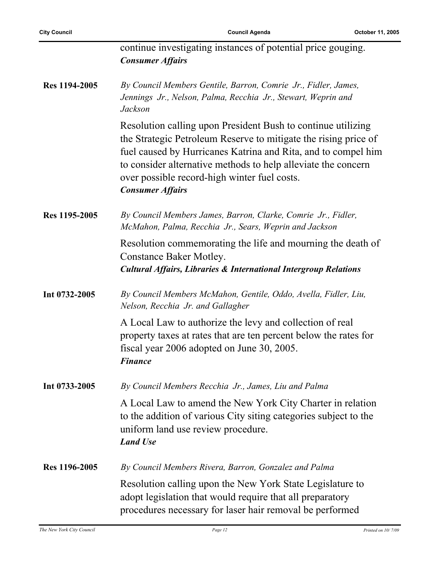| <b>City Council</b> | <b>Council Agenda</b>                                                                                                                                                                                                                                                                                                                        | October 11, 2005 |
|---------------------|----------------------------------------------------------------------------------------------------------------------------------------------------------------------------------------------------------------------------------------------------------------------------------------------------------------------------------------------|------------------|
|                     | continue investigating instances of potential price gouging.<br><b>Consumer Affairs</b>                                                                                                                                                                                                                                                      |                  |
| Res 1194-2005       | By Council Members Gentile, Barron, Comrie Jr., Fidler, James,<br>Jennings Jr., Nelson, Palma, Recchia Jr., Stewart, Weprin and<br>Jackson                                                                                                                                                                                                   |                  |
|                     | Resolution calling upon President Bush to continue utilizing<br>the Strategic Petroleum Reserve to mitigate the rising price of<br>fuel caused by Hurricanes Katrina and Rita, and to compel him<br>to consider alternative methods to help alleviate the concern<br>over possible record-high winter fuel costs.<br><b>Consumer Affairs</b> |                  |
| Res 1195-2005       | By Council Members James, Barron, Clarke, Comrie Jr., Fidler,<br>McMahon, Palma, Recchia Jr., Sears, Weprin and Jackson                                                                                                                                                                                                                      |                  |
|                     | Resolution commemorating the life and mourning the death of<br><b>Constance Baker Motley.</b><br><b>Cultural Affairs, Libraries &amp; International Intergroup Relations</b>                                                                                                                                                                 |                  |
| Int 0732-2005       | By Council Members McMahon, Gentile, Oddo, Avella, Fidler, Liu,<br>Nelson, Recchia Jr. and Gallagher                                                                                                                                                                                                                                         |                  |
|                     | A Local Law to authorize the levy and collection of real<br>property taxes at rates that are ten percent below the rates for<br>fiscal year 2006 adopted on June 30, 2005.<br><b>Finance</b>                                                                                                                                                 |                  |
| Int 0733-2005       | By Council Members Recchia Jr., James, Liu and Palma                                                                                                                                                                                                                                                                                         |                  |
|                     | A Local Law to amend the New York City Charter in relation<br>to the addition of various City siting categories subject to the<br>uniform land use review procedure.<br><b>Land Use</b>                                                                                                                                                      |                  |
| Res 1196-2005       | By Council Members Rivera, Barron, Gonzalez and Palma                                                                                                                                                                                                                                                                                        |                  |
|                     | Resolution calling upon the New York State Legislature to<br>adopt legislation that would require that all preparatory<br>procedures necessary for laser hair removal be performed                                                                                                                                                           |                  |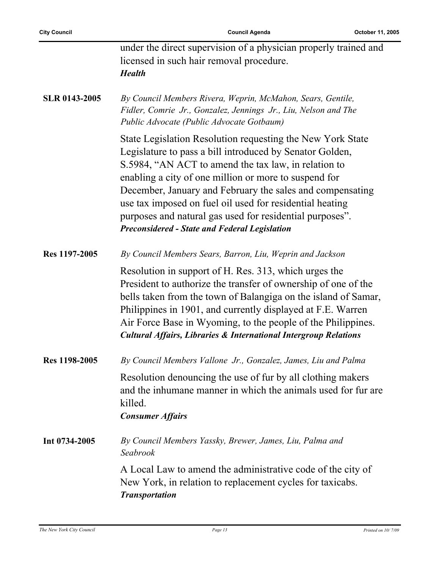$\overline{a}$ 

|                      | under the direct supervision of a physician properly trained and<br>licensed in such hair removal procedure.<br><b>Health</b>                                                                                                                                                                                                                                                                                                                                                        |
|----------------------|--------------------------------------------------------------------------------------------------------------------------------------------------------------------------------------------------------------------------------------------------------------------------------------------------------------------------------------------------------------------------------------------------------------------------------------------------------------------------------------|
| <b>SLR 0143-2005</b> | By Council Members Rivera, Weprin, McMahon, Sears, Gentile,<br>Fidler, Comrie Jr., Gonzalez, Jennings Jr., Liu, Nelson and The<br>Public Advocate (Public Advocate Gotbaum)                                                                                                                                                                                                                                                                                                          |
|                      | State Legislation Resolution requesting the New York State<br>Legislature to pass a bill introduced by Senator Golden,<br>S.5984, "AN ACT to amend the tax law, in relation to<br>enabling a city of one million or more to suspend for<br>December, January and February the sales and compensating<br>use tax imposed on fuel oil used for residential heating<br>purposes and natural gas used for residential purposes".<br><b>Preconsidered - State and Federal Legislation</b> |
| Res 1197-2005        | By Council Members Sears, Barron, Liu, Weprin and Jackson                                                                                                                                                                                                                                                                                                                                                                                                                            |
|                      | Resolution in support of H. Res. 313, which urges the<br>President to authorize the transfer of ownership of one of the<br>bells taken from the town of Balangiga on the island of Samar,<br>Philippines in 1901, and currently displayed at F.E. Warren<br>Air Force Base in Wyoming, to the people of the Philippines.<br><b>Cultural Affairs, Libraries &amp; International Intergroup Relations</b>                                                                              |
| Res 1198-2005        | By Council Members Vallone Jr., Gonzalez, James, Liu and Palma                                                                                                                                                                                                                                                                                                                                                                                                                       |
|                      | Resolution denouncing the use of fur by all clothing makers<br>and the inhumane manner in which the animals used for fur are<br>killed.<br><b>Consumer Affairs</b>                                                                                                                                                                                                                                                                                                                   |
| Int 0734-2005        | By Council Members Yassky, Brewer, James, Liu, Palma and<br>Seabrook                                                                                                                                                                                                                                                                                                                                                                                                                 |
|                      | A Local Law to amend the administrative code of the city of<br>New York, in relation to replacement cycles for taxicabs.<br><b>Transportation</b>                                                                                                                                                                                                                                                                                                                                    |